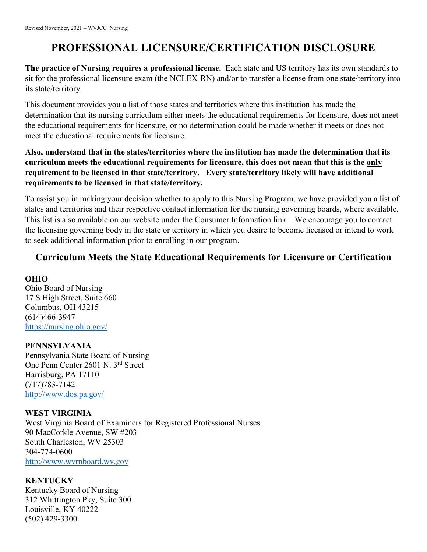# **PROFESSIONAL LICENSURE/CERTIFICATION DISCLOSURE**

**The practice of Nursing requires a professional license.** Each state and US territory has its own standards to sit for the professional licensure exam (the NCLEX-RN) and/or to transfer a license from one state/territory into its state/territory.

This document provides you a list of those states and territories where this institution has made the determination that its nursing curriculum either meets the educational requirements for licensure, does not meet the educational requirements for licensure, or no determination could be made whether it meets or does not meet the educational requirements for licensure.

# **Also, understand that in the states/territories where the institution has made the determination that its curriculum meets the educational requirements for licensure, this does not mean that this is the only requirement to be licensed in that state/territory. Every state/territory likely will have additional requirements to be licensed in that state/territory.**

To assist you in making your decision whether to apply to this Nursing Program, we have provided you a list of states and territories and their respective contact information for the nursing governing boards, where available. This list is also available on our website under the Consumer Information link. We encourage you to contact the licensing governing body in the state or territory in which you desire to become licensed or intend to work to seek additional information prior to enrolling in our program.

# **Curriculum Meets the State Educational Requirements for Licensure or Certification**

# **OHIO**

Ohio Board of Nursing 17 S High Street, Suite 660 Columbus, OH 43215 (614)466-3947 <https://nursing.ohio.gov/>

# **PENNSYLVANIA**

Pennsylvania State Board of Nursing One Penn Center 2601 N. 3rd Street Harrisburg, PA 17110 (717)783-7142 <http://www.dos.pa.gov/>

# **WEST VIRGINIA**

West Virginia Board of Examiners for Registered Professional Nurses 90 MacCorkle Avenue, SW #203 South Charleston, WV 25303 304-774-0600 [http://www.wvrnboard.wv.gov](http://www.wvrnboard.wv.gov/)

# **KENTUCKY**

Kentucky Board of Nursing 312 Whittington Pky, Suite 300 Louisville, KY 40222 (502) 429-3300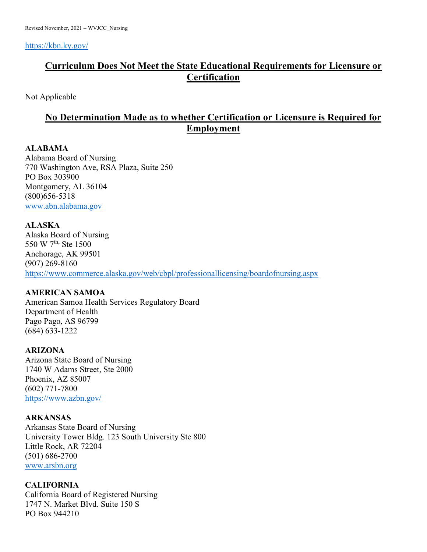<https://kbn.ky.gov/>

# **Curriculum Does Not Meet the State Educational Requirements for Licensure or Certification**

Not Applicable

# **No Determination Made as to whether Certification or Licensure is Required for Employment**

# **ALABAMA**

Alabama Board of Nursing 770 Washington Ave, RSA Plaza, Suite 250 PO Box 303900 Montgomery, AL 36104 (800)656-5318 [www.abn.alabama.gov](http://www.abn.alabama.gov/)

# **ALASKA**

Alaska Board of Nursing 550 W 7<sup>th,</sup> Ste 1500 Anchorage, AK 99501 (907) 269-8160 <https://www.commerce.alaska.gov/web/cbpl/professionallicensing/boardofnursing.aspx>

# **AMERICAN SAMOA**

American Samoa Health Services Regulatory Board Department of Health Pago Pago, AS 96799 (684) 633-1222

# **ARIZONA**

Arizona State Board of Nursing 1740 W Adams Street, Ste 2000 Phoenix, AZ 85007 (602) 771-7800 <https://www.azbn.gov/>

# **ARKANSAS**

Arkansas State Board of Nursing University Tower Bldg. 123 South University Ste 800 Little Rock, AR 72204 (501) 686-2700 [www.arsbn.org](http://www.arsbn.org/)

# **CALIFORNIA**

California Board of Registered Nursing 1747 N. Market Blvd. Suite 150 S PO Box 944210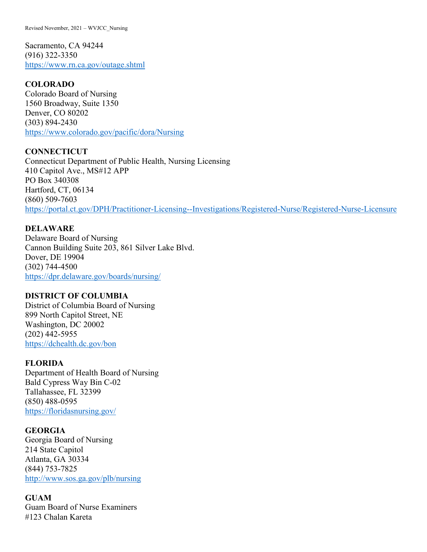Revised November, 2021 – WVJCC\_Nursing

Sacramento, CA 94244 (916) 322-3350 <https://www.rn.ca.gov/outage.shtml>

# **COLORADO**

Colorado Board of Nursing 1560 Broadway, Suite 1350 Denver, CO 80202 (303) 894-2430 <https://www.colorado.gov/pacific/dora/Nursing>

**CONNECTICUT**  Connecticut Department of Public Health, Nursing Licensing 410 Capitol Ave., MS#12 APP PO Box 340308 Hartford, CT, 06134 (860) 509-7603 <https://portal.ct.gov/DPH/Practitioner-Licensing--Investigations/Registered-Nurse/Registered-Nurse-Licensure>

# **DELAWARE**

Delaware Board of Nursing Cannon Building Suite 203, 861 Silver Lake Blvd. Dover, DE 19904 (302) 744-4500 <https://dpr.delaware.gov/boards/nursing/>

# **DISTRICT OF COLUMBIA**

District of Columbia Board of Nursing 899 North Capitol Street, NE Washington, DC 20002 (202) 442-5955 <https://dchealth.dc.gov/bon>

# **FLORIDA**

Department of Health Board of Nursing Bald Cypress Way Bin C-02 Tallahassee, FL 32399 (850) 488-0595 <https://floridasnursing.gov/>

# **GEORGIA**

Georgia Board of Nursing 214 State Capitol Atlanta, GA 30334 (844) 753-7825 [http://www.sos.ga.gov/plb/nursing](https://www.sos.ga.gov/)

# **GUAM**

Guam Board of Nurse Examiners #123 Chalan Kareta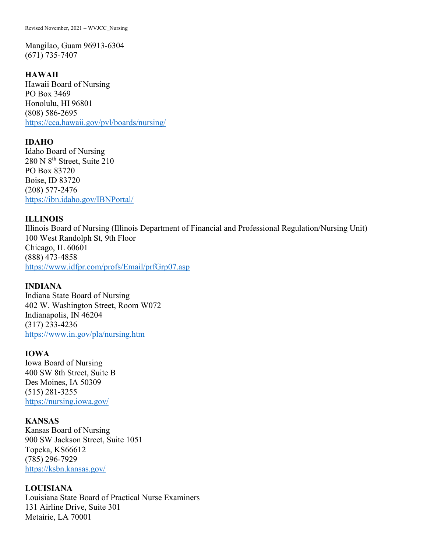Mangilao, Guam 96913-6304 (671) 735-7407

# **HAWAII**

Hawaii Board of Nursing PO Box 3469 Honolulu, HI 96801 (808) 586-2695 <https://cca.hawaii.gov/pvl/boards/nursing/>

#### **IDAHO**

Idaho Board of Nursing 280 N  $8<sup>th</sup>$  Street, Suite 210 PO Box 83720 Boise, ID 83720 (208) 577-2476 [https://ibn.idaho.gov/IBNPortal/](https://ibn.idaho.gov/)

#### **ILLINOIS**

Illinois Board of Nursing (Illinois Department of Financial and Professional Regulation/Nursing Unit) 100 West Randolph St, 9th Floor Chicago, IL 60601 (888) 473-4858 <https://www.idfpr.com/profs/Email/prfGrp07.asp>

# **INDIANA**

Indiana State Board of Nursing 402 W. Washington Street, Room W072 Indianapolis, IN 46204 (317) 233-4236 <https://www.in.gov/pla/nursing.htm>

# **IOWA**

Iowa Board of Nursing 400 SW 8th Street, Suite B Des Moines, IA 50309 (515) 281-3255 <https://nursing.iowa.gov/>

# **KANSAS**

Kansas Board of Nursing 900 SW Jackson Street, Suite 1051 Topeka, KS66612 (785) 296-7929 <https://ksbn.kansas.gov/>

# **LOUISIANA**

Louisiana State Board of Practical Nurse Examiners 131 Airline Drive, Suite 301 Metairie, LA 70001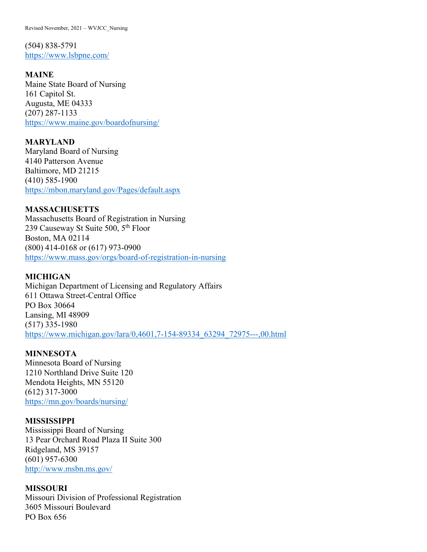Revised November, 2021 – WVJCC\_Nursing

(504) 838-5791 <https://www.lsbpne.com/>

**MAINE**

Maine State Board of Nursing 161 Capitol St. Augusta, ME 04333 (207) 287-1133 <https://www.maine.gov/boardofnursing/>

**MARYLAND**  Maryland Board of Nursing 4140 Patterson Avenue Baltimore, MD 21215 (410) 585-1900 <https://mbon.maryland.gov/Pages/default.aspx>

**MASSACHUSETTS**  Massachusetts Board of Registration in Nursing 239 Causeway St Suite 500, 5<sup>th</sup> Floor Boston, MA 02114 (800) 414-0168 or (617) 973-0900 <https://www.mass.gov/orgs/board-of-registration-in-nursing>

# **MICHIGAN**

Michigan Department of Licensing and Regulatory Affairs 611 Ottawa Street-Central Office PO Box 30664 Lansing, MI 48909 (517) 335-1980 [https://www.michigan.gov/lara/0,4601,7-154-89334\\_63294\\_72975---,00.html](https://www.michigan.gov/lara/0,4601,7-154-89334_63294_72975---,00.html)

# **MINNESOTA**

Minnesota Board of Nursing 1210 Northland Drive Suite 120 Mendota Heights, MN 55120 (612) 317-3000 <https://mn.gov/boards/nursing/>

# **MISSISSIPPI**

Mississippi Board of Nursing 13 Pear Orchard Road Plaza II Suite 300 Ridgeland, MS 39157 (601) 957-6300 <http://www.msbn.ms.gov/>

#### **MISSOURI**

Missouri Division of Professional Registration 3605 Missouri Boulevard PO Box 656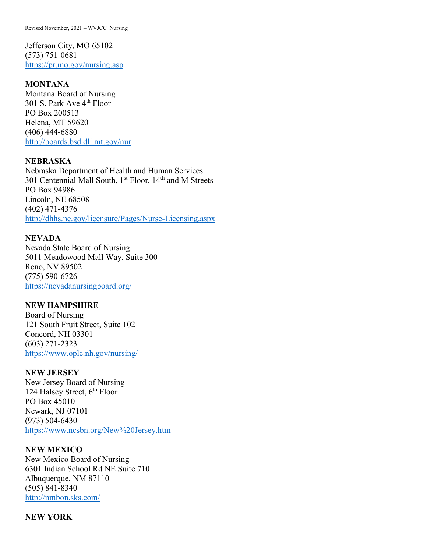Revised November, 2021 – WVJCC\_Nursing

Jefferson City, MO 65102 (573) 751-0681 <https://pr.mo.gov/nursing.asp>

#### **MONTANA**

Montana Board of Nursing 301 S. Park Ave 4<sup>th</sup> Floor PO Box 200513 Helena, MT 59620 (406) 444-6880 <http://boards.bsd.dli.mt.gov/nur>

# **NEBRASKA**

Nebraska Department of Health and Human Services 301 Centennial Mall South, 1<sup>st</sup> Floor, 14<sup>th</sup> and M Streets PO Box 94986 Lincoln, NE 68508 (402) 471-4376 <http://dhhs.ne.gov/licensure/Pages/Nurse-Licensing.aspx>

# **NEVADA**

Nevada State Board of Nursing 5011 Meadowood Mall Way, Suite 300 Reno, NV 89502 (775) 590-6726 <https://nevadanursingboard.org/>

#### **NEW HAMPSHIRE**

Board of Nursing 121 South Fruit Street, Suite 102 Concord, NH 03301 (603) 271-2323 [https://www.oplc.nh.gov/nursing/](https://www.oplc.nh.gov/)

# **NEW JERSEY**

New Jersey Board of Nursing 124 Halsey Street,  $6<sup>th</sup>$  Floor PO Box 45010 Newark, NJ 07101 (973) 504-6430 <https://www.ncsbn.org/New%20Jersey.htm>

#### **NEW MEXICO**

New Mexico Board of Nursing 6301 Indian School Rd NE Suite 710 Albuquerque, NM 87110 (505) 841-8340 <http://nmbon.sks.com/>

#### **NEW YORK**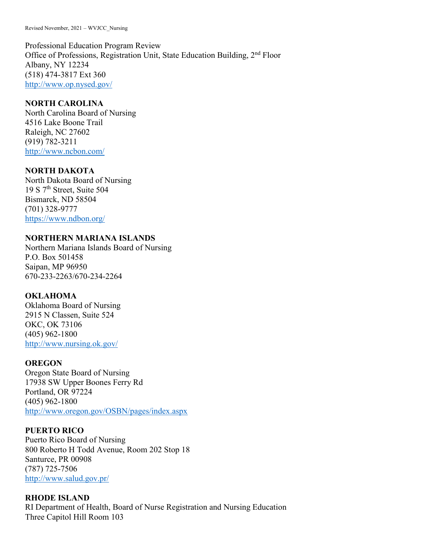Professional Education Program Review Office of Professions, Registration Unit, State Education Building, 2nd Floor Albany, NY 12234 (518) 474-3817 Ext 360 <http://www.op.nysed.gov/>

# **NORTH CAROLINA**

North Carolina Board of Nursing 4516 Lake Boone Trail Raleigh, NC 27602 (919) 782-3211 <http://www.ncbon.com/>

# **NORTH DAKOTA**

North Dakota Board of Nursing 19 S 7th Street, Suite 504 Bismarck, ND 58504 (701) 328-9777 <https://www.ndbon.org/>

# **NORTHERN MARIANA ISLANDS**

Northern Mariana Islands Board of Nursing P.O. Box 501458 Saipan, MP 96950 670-233-2263/670-234-2264

# **OKLAHOMA**

Oklahoma Board of Nursing 2915 N Classen, Suite 524 OKC, OK 73106 (405) 962-1800 <http://www.nursing.ok.gov/>

# **OREGON**

Oregon State Board of Nursing 17938 SW Upper Boones Ferry Rd Portland, OR 97224 (405) 962-1800 <http://www.oregon.gov/OSBN/pages/index.aspx>

# **PUERTO RICO**

Puerto Rico Board of Nursing 800 Roberto H Todd Avenue, Room 202 Stop 18 Santurce, PR 00908 (787) 725-7506 <http://www.salud.gov.pr/>

# **RHODE ISLAND**

RI Department of Health, Board of Nurse Registration and Nursing Education Three Capitol Hill Room 103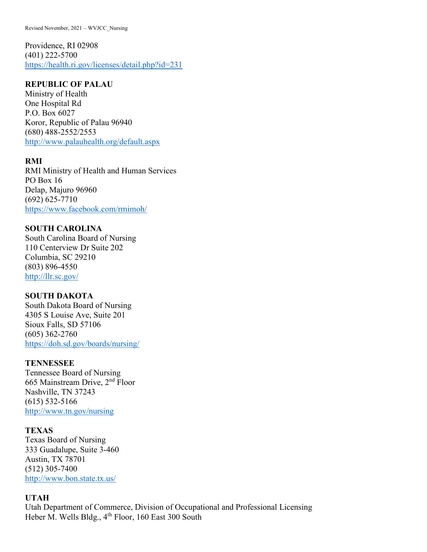Providence, RI 02908 (401) 222-5700 <https://health.ri.gov/licenses/detail.php?id=231>

# **REPUBLIC OF PALAU**

Ministry of Health One Hospital Rd P.O. Box 6027 Koror, Republic of Palau 96940 (680) 488-2552/2553 <http://www.palauhealth.org/default.aspx>

# **RMI**

RMI Ministry of Health and Human Services PO Box 16 Delap, Majuro 96960 (692) 625-7710 <https://www.facebook.com/rmimoh/>

# **SOUTH CAROLINA**

South Carolina Board of Nursing 110 Centerview Dr Suite 202 Columbia, SC 29210 (803) 896-4550 <http://llr.sc.gov/>

# **SOUTH DAKOTA**

South Dakota Board of Nursing 4305 S Louise Ave, Suite 201 Sioux Falls, SD 57106 (605) 362-2760 <https://doh.sd.gov/boards/nursing/>

# **TENNESSEE**

Tennessee Board of Nursing 665 Mainstream Drive, 2nd Floor Nashville, TN 37243 (615) 532-5166 [http://www.tn.gov/nursing](https://www.tn.gov/)

# **TEXAS**

Texas Board of Nursing 333 Guadalupe, Suite 3-460 Austin, TX 78701 (512) 305-7400 <http://www.bon.state.tx.us/>

# **UTAH**

Utah Department of Commerce, Division of Occupational and Professional Licensing Heber M. Wells Bldg., 4<sup>th</sup> Floor, 160 East 300 South